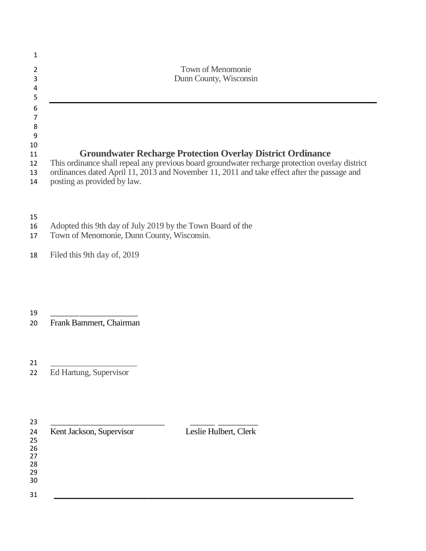|    | Town of Menomonie                                                                               |
|----|-------------------------------------------------------------------------------------------------|
| 3  | Dunn County, Wisconsin                                                                          |
|    |                                                                                                 |
|    |                                                                                                 |
| 6  |                                                                                                 |
|    |                                                                                                 |
| 8  |                                                                                                 |
| 9  |                                                                                                 |
| 10 |                                                                                                 |
| 11 | <b>Groundwater Recharge Protection Overlay District Ordinance</b>                               |
| 12 | This ordinance shall repeal any previous board groundwater recharge protection overlay district |
| 13 | ordinances dated April 11, 2013 and November 11, 2011 and take effect after the passage and     |
| 14 | posting as provided by law.                                                                     |
|    |                                                                                                 |

- Adopted this 9th day of July 2019 by the Town Board of the
- Town of Menomonie, Dunn County, Wisconsin.
- Filed this 9th day of, 2019

\_\_\_\_\_\_\_\_\_\_\_\_\_\_\_\_\_\_\_\_

Frank Bammert, Chairman

 \_\_\_\_\_\_\_\_\_\_\_\_\_\_\_\_\_\_\_\_\_ Ed Hartung, Supervisor

| Kent Jackson, Supervisor | Leslie Hulbert, Clerk |
|--------------------------|-----------------------|
|                          |                       |
|                          |                       |
|                          |                       |
|                          |                       |
|                          |                       |
|                          |                       |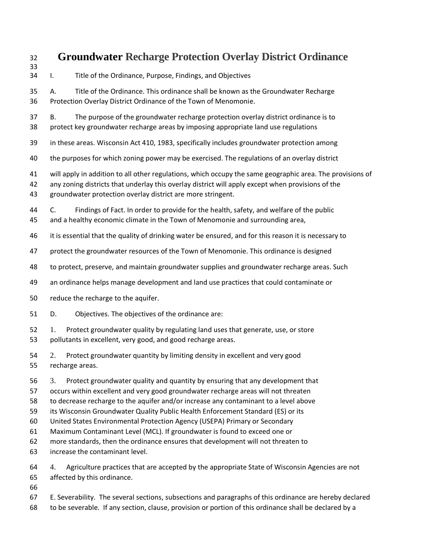## **Groundwater Recharge Protection Overlay District Ordinance**

- I. Title of the Ordinance, Purpose, Findings, and Objectives A. Title of the Ordinance. This ordinance shall be known as the Groundwater Recharge Protection Overlay District Ordinance of the Town of Menomonie. B. The purpose of the groundwater recharge protection overlay district ordinance is to protect key groundwater recharge areas by imposing appropriate land use regulations in these areas. Wisconsin Act 410, 1983, specifically includes groundwater protection among the purposes for which zoning power may be exercised. The regulations of an overlay district
	- will apply in addition to all other regulations, which occupy the same geographic area. The provisions of
	- any zoning districts that underlay this overlay district will apply except when provisions of the groundwater protection overlay district are more stringent.
	- C. Findings of Fact. In order to provide for the health, safety, and welfare of the public and a healthy economic climate in the Town of Menomonie and surrounding area,
	- it is essential that the quality of drinking water be ensured, and for this reason it is necessary to
	- protect the groundwater resources of the Town of Menomonie. This ordinance is designed
	- to protect, preserve, and maintain groundwater supplies and groundwater recharge areas. Such
	- an ordinance helps manage development and land use practices that could contaminate or
	- reduce the recharge to the aquifer.
	- D. Objectives. The objectives of the ordinance are:
	- 1. Protect groundwater quality by regulating land uses that generate, use, or store pollutants in excellent, very good, and good recharge areas.
	- 2. Protect groundwater quantity by limiting density in excellent and very good recharge areas.
	- 3. Protect groundwater quality and quantity by ensuring that any development that
	- occurs within excellent and very good groundwater recharge areas will not threaten
	- to decrease recharge to the aquifer and/or increase any contaminant to a level above
	- its Wisconsin Groundwater Quality Public Health Enforcement Standard (ES) or its
	- United States Environmental Protection Agency (USEPA) Primary or Secondary
	- Maximum Contaminant Level (MCL). If groundwater is found to exceed one or
	- more standards, then the ordinance ensures that development will not threaten to
	- increase the contaminant level.
	- 4. Agriculture practices that are accepted by the appropriate State of Wisconsin Agencies are not affected by this ordinance.
	-

- E. Severability. The several sections, subsections and paragraphs of this ordinance are hereby declared
- to be severable. If any section, clause, provision or portion of this ordinance shall be declared by a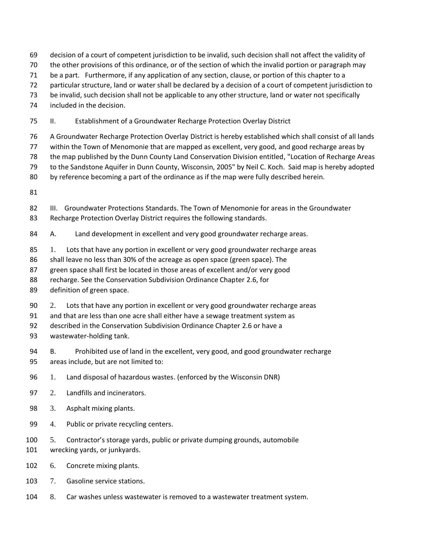- decision of a court of competent jurisdiction to be invalid, such decision shall not affect the validity of
- the other provisions of this ordinance, or of the section of which the invalid portion or paragraph may
- be a part. Furthermore, if any application of any section, clause, or portion of this chapter to a
- particular structure, land or water shall be declared by a decision of a court of competent jurisdiction to
- be invalid, such decision shall not be applicable to any other structure, land or water not specifically
- included in the decision.
- II. Establishment of a Groundwater Recharge Protection Overlay District
- A Groundwater Recharge Protection Overlay District is hereby established which shall consist of all lands
- within the Town of Menomonie that are mapped as excellent, very good, and good recharge areas by
- the map published by the Dunn County Land Conservation Division entitled, "Location of Recharge Areas
- to the Sandstone Aquifer in Dunn County, Wisconsin, 2005" by Neil C. Koch. Said map is hereby adopted
- by reference becoming a part of the ordinance as if the map were fully described herein.
- 
- III. Groundwater Protections Standards. The Town of Menomonie for areas in the Groundwater
- Recharge Protection Overlay District requires the following standards.
- A. Land development in excellent and very good groundwater recharge areas.
- 85 1. Lots that have any portion in excellent or very good groundwater recharge areas
- 86 shall leave no less than 30% of the acreage as open space (green space). The
- green space shall first be located in those areas of excellent and/or very good
- recharge. See the Conservation Subdivision Ordinance Chapter 2.6, for
- definition of green space.
- 2. Lots that have any portion in excellent or very good groundwater recharge areas
- and that are less than one acre shall either have a sewage treatment system as
- described in the Conservation Subdivision Ordinance Chapter 2.6 or have a
- wastewater-holding tank.
- B. Prohibited use of land in the excellent, very good, and good groundwater recharge areas include, but are not limited to:
- 1. Land disposal of hazardous wastes. (enforced by the Wisconsin DNR)
- 2. Landfills and incinerators.
- 3. Asphalt mixing plants.
- 4. Public or private recycling centers.
- 5. Contractor's storage yards, public or private dumping grounds, automobile wrecking yards, or junkyards.
- 6. Concrete mixing plants.
- 7. Gasoline service stations.
- 8. Car washes unless wastewater is removed to a wastewater treatment system.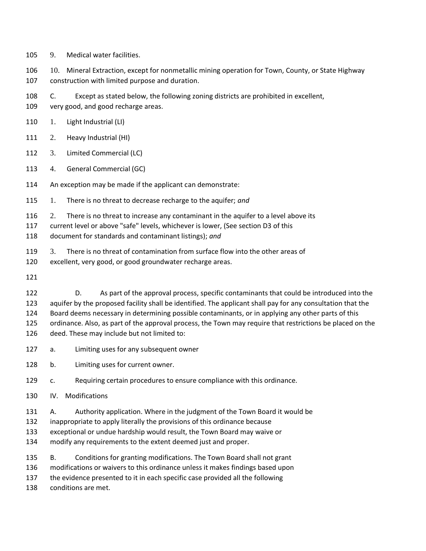9. Medical water facilities.

 10. Mineral Extraction, except for nonmetallic mining operation for Town, County, or State Highway construction with limited purpose and duration.

- C. Except as stated below, the following zoning districts are prohibited in excellent,
- very good, and good recharge areas.
- 1. Light Industrial (LI)
- 2. Heavy Industrial (HI)
- 3. Limited Commercial (LC)
- 4. General Commercial (GC)
- An exception may be made if the applicant can demonstrate:
- 1. There is no threat to decrease recharge to the aquifer; *and*
- 2. There is no threat to increase any contaminant in the aquifer to a level above its
- current level or above "safe" levels, whichever is lower, (See section D3 of this
- document for standards and contaminant listings); *and*
- 3. There is no threat of contamination from surface flow into the other areas of
- excellent, very good, or good groundwater recharge areas.
- 

 D. As part of the approval process, specific contaminants that could be introduced into the aquifer by the proposed facility shall be identified. The applicant shall pay for any consultation that the Board deems necessary in determining possible contaminants, or in applying any other parts of this ordinance. Also, as part of the approval process, the Town may require that restrictions be placed on the deed. These may include but not limited to:

- a. Limiting uses for any subsequent owner
- b. Limiting uses for current owner.
- c. Requiring certain procedures to ensure compliance with this ordinance.
- IV. Modifications
- A. Authority application. Where in the judgment of the Town Board it would be
- inappropriate to apply literally the provisions of this ordinance because
- exceptional or undue hardship would result, the Town Board may waive or
- modify any requirements to the extent deemed just and proper.
- B. Conditions for granting modifications. The Town Board shall not grant
- modifications or waivers to this ordinance unless it makes findings based upon
- the evidence presented to it in each specific case provided all the following
- conditions are met.